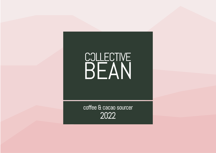# BEAN

coffee & cacao sourcer 2022

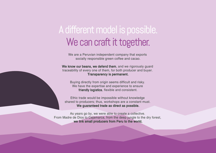We are a Peruvian independent company that exports socially responsible green coffee and cacao.

We know our beans, we defend them, and we rigorously guard traceability of every one of them, for both producer and buyer. Transparency is permanent.

Buying directly from origin seems difficult and risky. We have the expertise and experience to ensure friendly logistics, flexible and consistent.

### A different model is possible. We can craft it together.

Ethic trade would be impossible without knowledge shared to producers; thus, workshops are a constant must. We guaranteed trade as direct as possible.

As years go by, we were able to create a collective. From Madre de Dios to Cajamarca, from the deep jungle to the dry forest, we link small producers from Peru to the world.

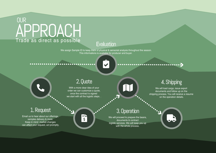### **OUR** APPROACH Trade as direct as possible

#### **Evaluation**

#### 2. Quote

With a more clear idea of your order we can customize a quote, once the contract is signed we start with all the logistic steps. .

工字

We will proceed to prepare the beans, documents & contract logistic services. We will keep you up with the whole process.

#### 3. Operation



We will load cargo, issue export documents and follow up on the shipping process. You will receive a resume on the operation details.



#### 1. Request

Email us to hear about our offerings, samples delivery & more. Keep in mind market changes can affect your request, act promptly.

We assign Sample ID to keep track of physical & sensorial analysis throughout the season. This informations is available for producer and buyer.

...... ...........

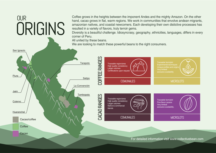ORIGINS

We are looking to match these powerful beans to the right consumers.

Coffee grows in the heights between the imponent Andes and the mighty Amazon. On the other hand, cacao grows in flat, warm regions. We work in communities that envolve andean migrants, amazonian natives, and coastal newcomers. Each developing their own distictive processes has resulted in a variety of flavors, truly terroir gems.

Diversity is a beautiful challenge. Idiosyncrasy, geography, ethnicities, languages, differs in every corner of Peru.

All united by these beans.

**OUR**